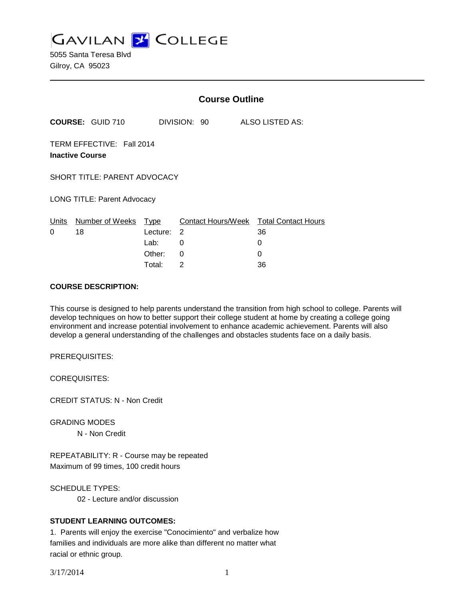**GAVILAN Z COLLEGE** 

5055 Santa Teresa Blvd Gilroy, CA 95023

|                                                     |                         | <b>Course Outline</b> |              |                           |   |                            |
|-----------------------------------------------------|-------------------------|-----------------------|--------------|---------------------------|---|----------------------------|
|                                                     | <b>COURSE: GUID 710</b> |                       | DIVISION: 90 |                           |   | ALSO LISTED AS:            |
| TERM EFFECTIVE: Fall 2014<br><b>Inactive Course</b> |                         |                       |              |                           |   |                            |
| <b>SHORT TITLE: PARENT ADVOCACY</b>                 |                         |                       |              |                           |   |                            |
| <b>LONG TITLE: Parent Advocacy</b>                  |                         |                       |              |                           |   |                            |
| Units                                               | Number of Weeks         | Type                  |              | <b>Contact Hours/Week</b> |   | <b>Total Contact Hours</b> |
| 0                                                   | 18                      | Lecture:              | 2            |                           |   | 36                         |
|                                                     |                         | Lab:                  | 0            |                           | 0 |                            |
|                                                     |                         | Other:                | 0            |                           | 0 |                            |
|                                                     |                         | Total:                | 2            |                           |   | 36                         |

### **COURSE DESCRIPTION:**

This course is designed to help parents understand the transition from high school to college. Parents will develop techniques on how to better support their college student at home by creating a college going environment and increase potential involvement to enhance academic achievement. Parents will also develop a general understanding of the challenges and obstacles students face on a daily basis.

PREREQUISITES:

COREQUISITES:

CREDIT STATUS: N - Non Credit

GRADING MODES

N - Non Credit

REPEATABILITY: R - Course may be repeated Maximum of 99 times, 100 credit hours

SCHEDULE TYPES:

02 - Lecture and/or discussion

## **STUDENT LEARNING OUTCOMES:**

1. Parents will enjoy the exercise "Conocimiento" and verbalize how families and individuals are more alike than different no matter what racial or ethnic group.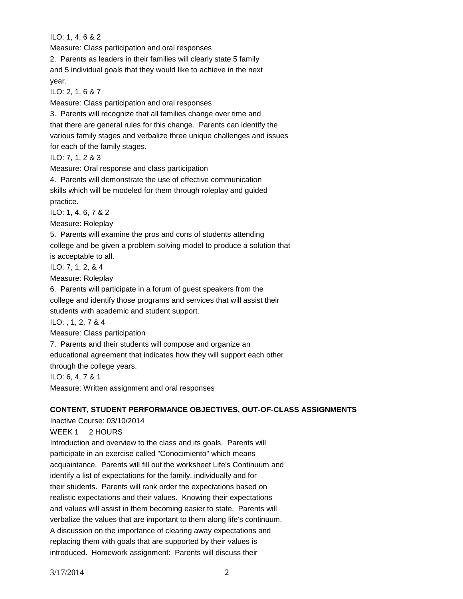ILO: 1, 4, 6 & 2

Measure: Class participation and oral responses

2. Parents as leaders in their families will clearly state 5 family and 5 individual goals that they would like to achieve in the next year.

ILO: 2, 1, 6 & 7

Measure: Class participation and oral responses

3. Parents will recognize that all families change over time and that there are general rules for this change. Parents can identify the various family stages and verbalize three unique challenges and issues for each of the family stages.

ILO: 7, 1, 2 & 3

Measure: Oral response and class participation

4. Parents will demonstrate the use of effective communication skills which will be modeled for them through roleplay and guided practice.

ILO: 1, 4, 6, 7 & 2

Measure: Roleplay

5. Parents will examine the pros and cons of students attending

college and be given a problem solving model to produce a solution that

is acceptable to all.

ILO: 7, 1, 2, & 4

Measure: Roleplay

6. Parents will participate in a forum of guest speakers from the college and identify those programs and services that will assist their students with academic and student support.

ILO: , 1, 2, 7 & 4

Measure: Class participation

7. Parents and their students will compose and organize an

educational agreement that indicates how they will support each other

through the college years.

ILO: 6, 4, 7 & 1

Measure: Written assignment and oral responses

# **CONTENT, STUDENT PERFORMANCE OBJECTIVES, OUT-OF-CLASS ASSIGNMENTS**

Inactive Course: 03/10/2014 WEEK 1 2 HOURS Introduction and overview to the class and its goals. Parents will participate in an exercise called "Conocimiento" which means acquaintance. Parents will fill out the worksheet Life's Continuum and identify a list of expectations for the family, individually and for their students. Parents will rank order the expectations based on realistic expectations and their values. Knowing their expectations and values will assist in them becoming easier to state. Parents will verbalize the values that are important to them along life's continuum. A discussion on the importance of clearing away expectations and replacing them with goals that are supported by their values is introduced. Homework assignment: Parents will discuss their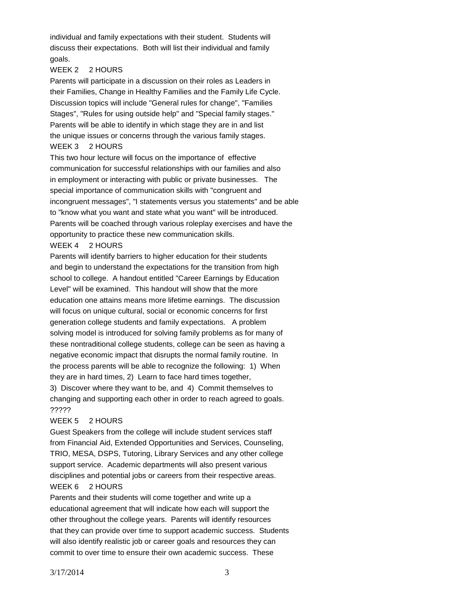individual and family expectations with their student. Students will discuss their expectations. Both will list their individual and family goals.

#### WEEK 2 2 HOURS

Parents will participate in a discussion on their roles as Leaders in their Families, Change in Healthy Families and the Family Life Cycle. Discussion topics will include "General rules for change", "Families Stages", "Rules for using outside help" and "Special family stages." Parents will be able to identify in which stage they are in and list the unique issues or concerns through the various family stages. WEEK 3 2 HOURS

This two hour lecture will focus on the importance of effective communication for successful relationships with our families and also in employment or interacting with public or private businesses. The special importance of communication skills with "congruent and incongruent messages", "I statements versus you statements" and be able to "know what you want and state what you want" will be introduced. Parents will be coached through various roleplay exercises and have the opportunity to practice these new communication skills.

## WEEK 4 2 HOURS

Parents will identify barriers to higher education for their students and begin to understand the expectations for the transition from high school to college. A handout entitled "Career Earnings by Education Level" will be examined. This handout will show that the more education one attains means more lifetime earnings. The discussion will focus on unique cultural, social or economic concerns for first generation college students and family expectations. A problem solving model is introduced for solving family problems as for many of these nontraditional college students, college can be seen as having a negative economic impact that disrupts the normal family routine. In the process parents will be able to recognize the following: 1) When they are in hard times, 2) Learn to face hard times together,

3) Discover where they want to be, and 4) Commit themselves to changing and supporting each other in order to reach agreed to goals. ?????

#### WEEK 5 2 HOURS

Guest Speakers from the college will include student services staff from Financial Aid, Extended Opportunities and Services, Counseling, TRIO, MESA, DSPS, Tutoring, Library Services and any other college support service. Academic departments will also present various disciplines and potential jobs or careers from their respective areas.

## WEEK 6 2 HOURS

Parents and their students will come together and write up a educational agreement that will indicate how each will support the other throughout the college years. Parents will identify resources that they can provide over time to support academic success. Students will also identify realistic job or career goals and resources they can commit to over time to ensure their own academic success. These